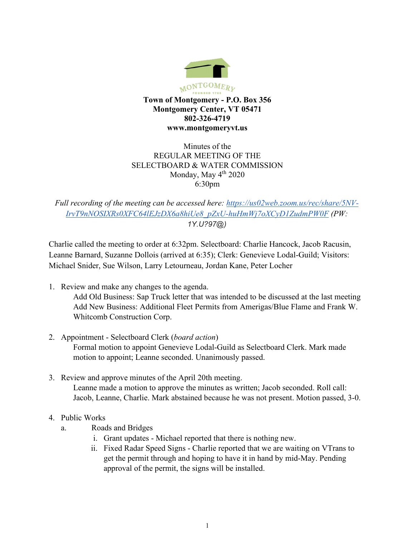

Minutes of the REGULAR MEETING OF THE SELECTBOARD & WATER COMMISSION Monday, May  $4<sup>th</sup> 2020$ 6:30pm

*Full recording of the meeting can be accessed here: [https://us02web.zoom.us/rec/share/5NV-](https://us02web.zoom.us/rec/share/5NV-IrvT9nNOSIXRs0XFC64lEJzDX6a8hiUe8_pZxU-huHmWj7oXCyD1ZudmPW0F)[IrvT9nNOSIXRs0XFC64lEJzDX6a8hiUe8\\_pZxU-huHmWj7oXCyD1ZudmPW0F](https://us02web.zoom.us/rec/share/5NV-IrvT9nNOSIXRs0XFC64lEJzDX6a8hiUe8_pZxU-huHmWj7oXCyD1ZudmPW0F) (PW: 1Y.U?97@)*

Charlie called the meeting to order at 6:32pm. Selectboard: Charlie Hancock, Jacob Racusin, Leanne Barnard, Suzanne Dollois (arrived at 6:35); Clerk: Genevieve Lodal-Guild; Visitors: Michael Snider, Sue Wilson, Larry Letourneau, Jordan Kane, Peter Locher

- 1. Review and make any changes to the agenda. Add Old Business: Sap Truck letter that was intended to be discussed at the last meeting Add New Business: Additional Fleet Permits from Amerigas/Blue Flame and Frank W. Whitcomb Construction Corp.
- 2. Appointment Selectboard Clerk (*board action*) Formal motion to appoint Genevieve Lodal-Guild as Selectboard Clerk. Mark made motion to appoint; Leanne seconded. Unanimously passed.
- 3. Review and approve minutes of the April 20th meeting. Leanne made a motion to approve the minutes as written; Jacob seconded. Roll call: Jacob, Leanne, Charlie. Mark abstained because he was not present. Motion passed, 3-0.
- 4. Public Works
	- a. Roads and Bridges
		- i. Grant updates Michael reported that there is nothing new.
		- ii. Fixed Radar Speed Signs Charlie reported that we are waiting on VTrans to get the permit through and hoping to have it in hand by mid-May. Pending approval of the permit, the signs will be installed.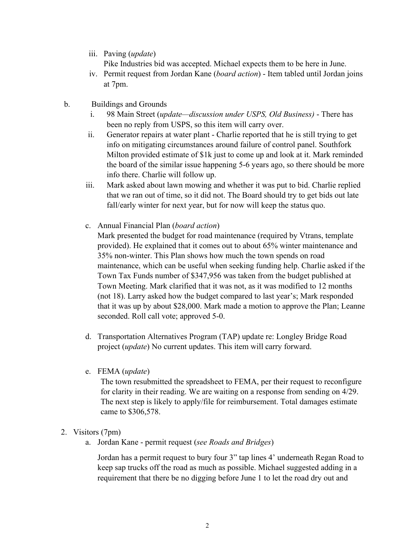iii. Paving (*update*)

Pike Industries bid was accepted. Michael expects them to be here in June.

- iv. Permit request from Jordan Kane (*board action*) Item tabled until Jordan joins at 7pm.
- b. Buildings and Grounds
	- i. 98 Main Street (*update—discussion under USPS, Old Business)* There has been no reply from USPS, so this item will carry over.
	- ii. Generator repairs at water plant Charlie reported that he is still trying to get info on mitigating circumstances around failure of control panel. Southfork Milton provided estimate of \$1k just to come up and look at it. Mark reminded the board of the similar issue happening 5-6 years ago, so there should be more info there. Charlie will follow up.
	- iii. Mark asked about lawn mowing and whether it was put to bid. Charlie replied that we ran out of time, so it did not. The Board should try to get bids out late fall/early winter for next year, but for now will keep the status quo.
	- c. Annual Financial Plan (*board action*)

Mark presented the budget for road maintenance (required by Vtrans, template provided). He explained that it comes out to about 65% winter maintenance and 35% non-winter. This Plan shows how much the town spends on road maintenance, which can be useful when seeking funding help. Charlie asked if the Town Tax Funds number of \$347,956 was taken from the budget published at Town Meeting. Mark clarified that it was not, as it was modified to 12 months (not 18). Larry asked how the budget compared to last year's; Mark responded that it was up by about \$28,000. Mark made a motion to approve the Plan; Leanne seconded. Roll call vote; approved 5-0.

- d. Transportation Alternatives Program (TAP) update re: Longley Bridge Road project (*update*) No current updates. This item will carry forward.
- e. FEMA (*update*)

The town resubmitted the spreadsheet to FEMA, per their request to reconfigure for clarity in their reading. We are waiting on a response from sending on 4/29. The next step is likely to apply/file for reimbursement. Total damages estimate came to \$306,578.

- 2. Visitors (7pm)
	- a. Jordan Kane permit request (*see Roads and Bridges*)

Jordan has a permit request to bury four 3" tap lines 4' underneath Regan Road to keep sap trucks off the road as much as possible. Michael suggested adding in a requirement that there be no digging before June 1 to let the road dry out and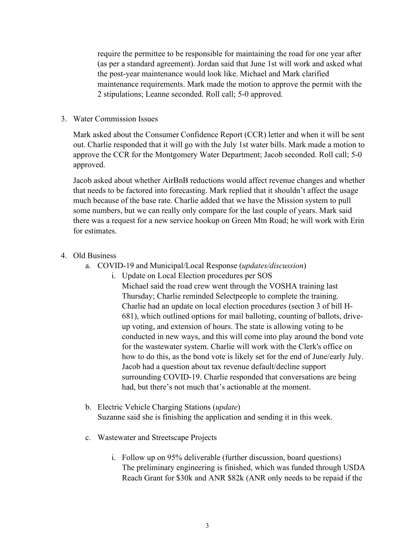require the permittee to be responsible for maintaining the road for one year after (as per a standard agreement). Jordan said that June 1st will work and asked what the post-year maintenance would look like. Michael and Mark clarified maintenance requirements. Mark made the motion to approve the permit with the 2 stipulations; Leanne seconded. Roll call; 5-0 approved.

## 3. Water Commission Issues

Mark asked about the Consumer Confidence Report (CCR) letter and when it will be sent out. Charlie responded that it will go with the July 1st water bills. Mark made a motion to approve the CCR for the Montgomery Water Department; Jacob seconded. Roll call; 5-0 approved.

Jacob asked about whether AirBnB reductions would affect revenue changes and whether that needs to be factored into forecasting. Mark replied that it shouldn't affect the usage much because of the base rate. Charlie added that we have the Mission system to pull some numbers, but we can really only compare for the last couple of years. Mark said there was a request for a new service hookup on Green Mtn Road; he will work with Erin for estimates.

- 4. Old Business
	- a. COVID-19 and Municipal/Local Response (*updates/discussion*)
		- i. Update on Local Election procedures per SOS

Michael said the road crew went through the VOSHA training last Thursday; Charlie reminded Selectpeople to complete the training. Charlie had an update on local election procedures (section 3 of bill H-681), which outlined options for mail balloting, counting of ballots, driveup voting, and extension of hours. The state is allowing voting to be conducted in new ways, and this will come into play around the bond vote for the wastewater system. Charlie will work with the Clerk's office on how to do this, as the bond vote is likely set for the end of June/early July. Jacob had a question about tax revenue default/decline support surrounding COVID-19. Charlie responded that conversations are being had, but there's not much that's actionable at the moment.

- b. Electric Vehicle Charging Stations (*update*) Suzanne said she is finishing the application and sending it in this week.
- c. Wastewater and Streetscape Projects
	- i. Follow up on 95% deliverable (further discussion, board questions) The preliminary engineering is finished, which was funded through USDA Reach Grant for \$30k and ANR \$82k (ANR only needs to be repaid if the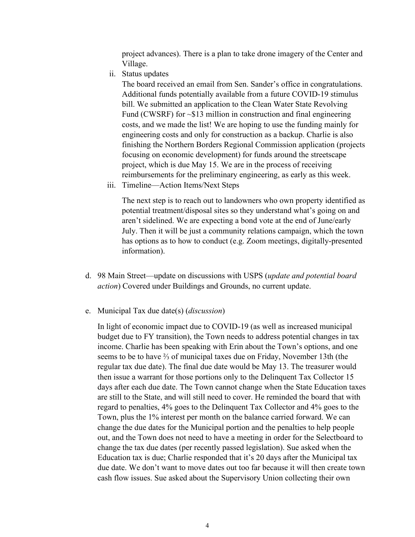project advances). There is a plan to take drone imagery of the Center and Village.

ii. Status updates

The board received an email from Sen. Sander's office in congratulations. Additional funds potentially available from a future COVID-19 stimulus bill. We submitted an application to the Clean Water State Revolving Fund (CWSRF) for ~\$13 million in construction and final engineering costs, and we made the list! We are hoping to use the funding mainly for engineering costs and only for construction as a backup. Charlie is also finishing the Northern Borders Regional Commission application (projects focusing on economic development) for funds around the streetscape project, which is due May 15. We are in the process of receiving reimbursements for the preliminary engineering, as early as this week.

iii. Timeline—Action Items/Next Steps

The next step is to reach out to landowners who own property identified as potential treatment/disposal sites so they understand what's going on and aren't sidelined. We are expecting a bond vote at the end of June/early July. Then it will be just a community relations campaign, which the town has options as to how to conduct (e.g. Zoom meetings, digitally-presented information).

- d. 98 Main Street—update on discussions with USPS (*update and potential board action*) Covered under Buildings and Grounds, no current update.
- e. Municipal Tax due date(s) (*discussion*)

In light of economic impact due to COVID-19 (as well as increased municipal budget due to FY transition), the Town needs to address potential changes in tax income. Charlie has been speaking with Erin about the Town's options, and one seems to be to have ⅔ of municipal taxes due on Friday, November 13th (the regular tax due date). The final due date would be May 13. The treasurer would then issue a warrant for those portions only to the Delinquent Tax Collector 15 days after each due date. The Town cannot change when the State Education taxes are still to the State, and will still need to cover. He reminded the board that with regard to penalties, 4% goes to the Delinquent Tax Collector and 4% goes to the Town, plus the 1% interest per month on the balance carried forward. We can change the due dates for the Municipal portion and the penalties to help people out, and the Town does not need to have a meeting in order for the Selectboard to change the tax due dates (per recently passed legislation). Sue asked when the Education tax is due; Charlie responded that it's 20 days after the Municipal tax due date. We don't want to move dates out too far because it will then create town cash flow issues. Sue asked about the Supervisory Union collecting their own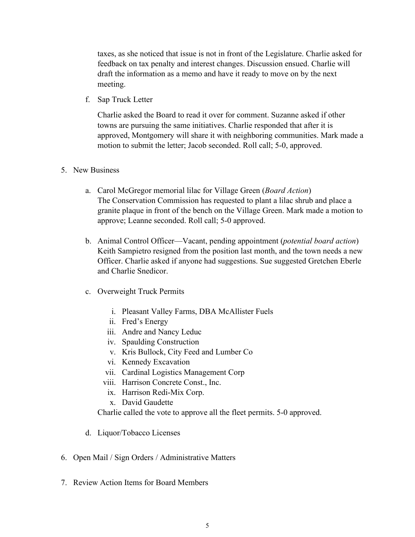taxes, as she noticed that issue is not in front of the Legislature. Charlie asked for feedback on tax penalty and interest changes. Discussion ensued. Charlie will draft the information as a memo and have it ready to move on by the next meeting.

f. Sap Truck Letter

Charlie asked the Board to read it over for comment. Suzanne asked if other towns are pursuing the same initiatives. Charlie responded that after it is approved, Montgomery will share it with neighboring communities. Mark made a motion to submit the letter; Jacob seconded. Roll call; 5-0, approved.

## 5. New Business

- a. Carol McGregor memorial lilac for Village Green (*Board Action*) The Conservation Commission has requested to plant a lilac shrub and place a granite plaque in front of the bench on the Village Green. Mark made a motion to approve; Leanne seconded. Roll call; 5-0 approved.
- b. Animal Control Officer—Vacant, pending appointment (*potential board action*) Keith Sampietro resigned from the position last month, and the town needs a new Officer. Charlie asked if anyone had suggestions. Sue suggested Gretchen Eberle and Charlie Snedicor.
- c. Overweight Truck Permits
	- i. Pleasant Valley Farms, DBA McAllister Fuels
	- ii. Fred's Energy
	- iii. Andre and Nancy Leduc
	- iv. Spaulding Construction
	- v. Kris Bullock, City Feed and Lumber Co
	- vi. Kennedy Excavation
	- vii. Cardinal Logistics Management Corp
	- viii. Harrison Concrete Const., Inc.
		- ix. Harrison Redi-Mix Corp.
		- x. David Gaudette

Charlie called the vote to approve all the fleet permits. 5-0 approved.

- d. Liquor/Tobacco Licenses
- 6. Open Mail / Sign Orders / Administrative Matters
- 7. Review Action Items for Board Members